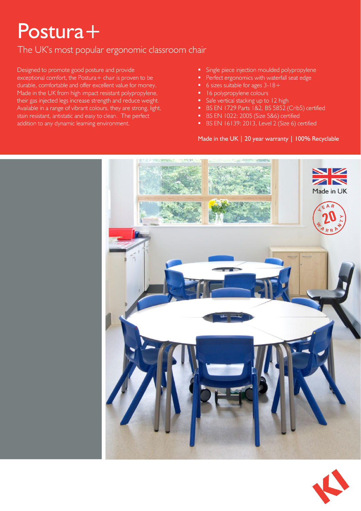## Postura+

#### The UK's most popular ergonomic classroom chair

Designed to promote good posture and provide exceptional comfort, the Postura + chair is proven to be durable, comfortable and offer excellent value for money. Made in the UK from high impact resistant polypropylene, their gas injected legs increase strength and reduce weight. Available in a range of vibrant colours, they are strong, light, stain resistant, antistatic and easy to clean. The perfect addition to any dynamic learning environment.

- Single piece injection moulded polypropylene
- Perfect ergonomics with waterfall seat edge
- $\overline{\phantom{a}}$  6 sizes suitable for ages 3-18+
- **16 polypropylene colours**
- Safe vertical stacking up to 12 high
- BS EN 1729 Parts 1&2, BS 5852 (Crib5) certified
- **BS EN 1022: 2005 (Size 5&6) certified**
- $\blacksquare$  BS EN 16139: 2013, Level 2 (Size 6) certified

#### Made in the UK | 20 year warranty | 100% Recyclable